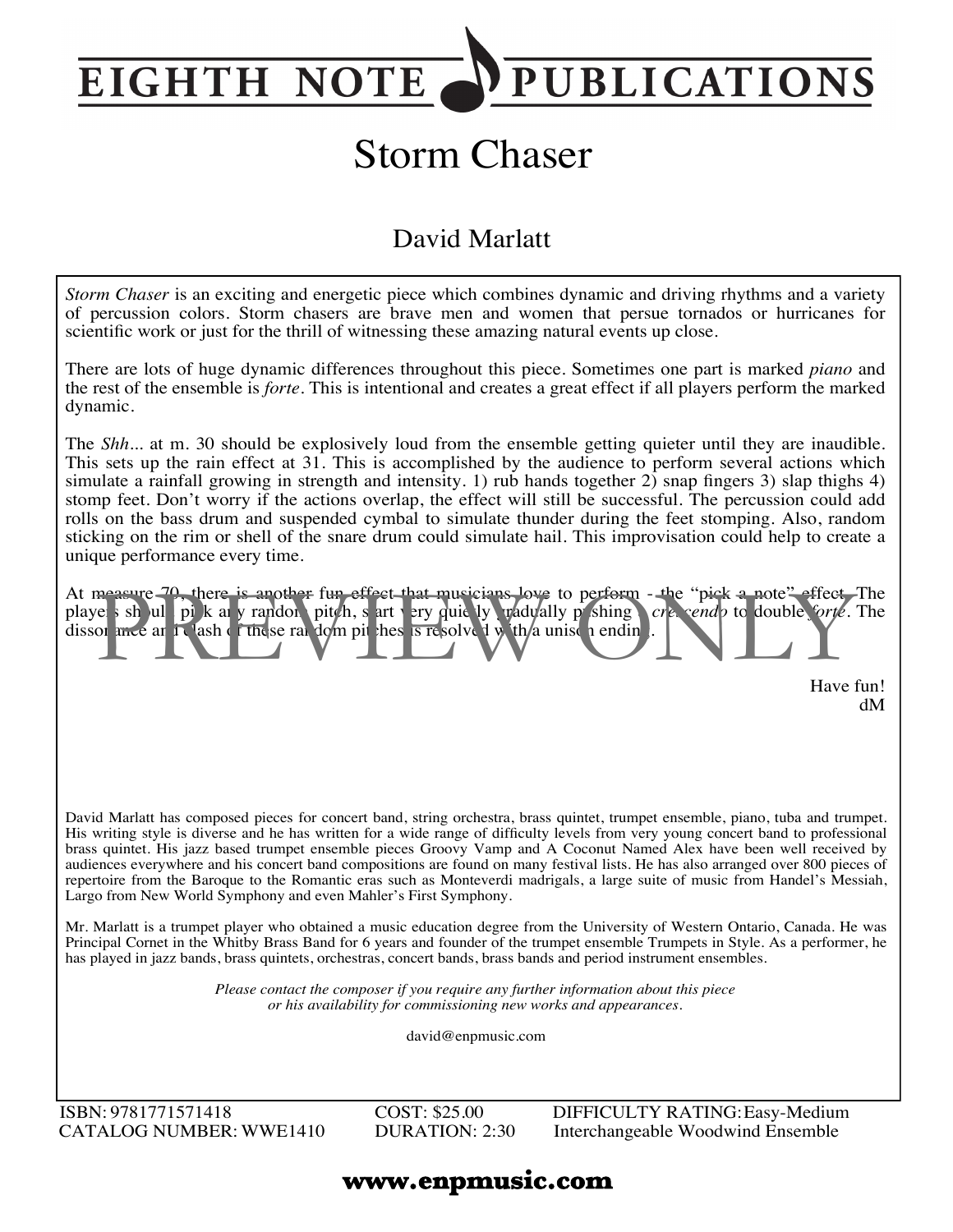## **PUBLICATIONS EIGHTH NOTE**

# Storm Chaser

### David Marlatt

*Storm Chaser* is an exciting and energetic piece which combines dynamic and driving rhythms and a variety of percussion colors. Storm chasers are brave men and women that persue tornados or hurricanes for scientific work or just for the thrill of witnessing these amazing natural events up close.

There are lots of huge dynamic differences throughout this piece. Sometimes one part is marked *piano* and the rest of the ensemble is *forte*. This is intentional and creates a great effect if all players perform the marked dynamic.

The *Shh*... at m. 30 should be explosively loud from the ensemble getting quieter until they are inaudible. This sets up the rain effect at 31. This is accomplished by the audience to perform several actions which simulate a rainfall growing in strength and intensity. 1) rub hands together  $2$ ) snap fingers 3) slap thighs 4) stomp feet. Don't worry if the actions overlap, the effect will still be successful. The percussion could add rolls on the bass drum and suspended cymbal to simulate thunder during the feet stomping. Also, random sticking on the rim or shell of the snare drum could simulate hail. This improvisation could help to create a unique performance every time.

At measure 70, there is another fun effect that musicians love to perform - the "pick a note" effect. The players should pick any random pitch, start very quietly gradually pushing a *crescendo* to double *forte*. The dissonance and clash of these random pitches is resolved with a unison ending. measure 70, there is another fun effect that musicians love to perform - the "pick a note" effect<br>er sh ull pik a y randon pitch, s art ery quie ly vadvally p shing cres end to double forte.<br>or ance ar it lash c these rat

Have fun! dM

David Marlatt has composed pieces for concert band, string orchestra, brass quintet, trumpet ensemble, piano, tuba and trumpet. His writing style is diverse and he has written for a wide range of difficulty levels from very young concert band to professional brass quintet. His jazz based trumpet ensemble pieces Groovy Vamp and A Coconut Named Alex have been well received by audiences everywhere and his concert band compositions are found on many festival lists. He has also arranged over 800 pieces of repertoire from the Baroque to the Romantic eras such as Monteverdi madrigals, a large suite of music from Handel's Messiah, Largo from New World Symphony and even Mahler's First Symphony.

Mr. Marlatt is a trumpet player who obtained a music education degree from the University of Western Ontario, Canada. He was Principal Cornet in the Whitby Brass Band for 6 years and founder of the trumpet ensemble Trumpets in Style. As a performer, he has played in jazz bands, brass quintets, orchestras, concert bands, brass bands and period instrument ensembles.

> *Please contact the composer if you require any further information about this piece or his availability for commissioning new works and appearances.*

> > david@enpmusic.com

ISBN: 9781771571418 CATALOG NUMBER: WWE1410 COST: \$25.00 DURATION: 2:30 DIFFICULTY RATING:Easy-Medium Interchangeable Woodwind Ensemble

#### **www.enpmusic.com**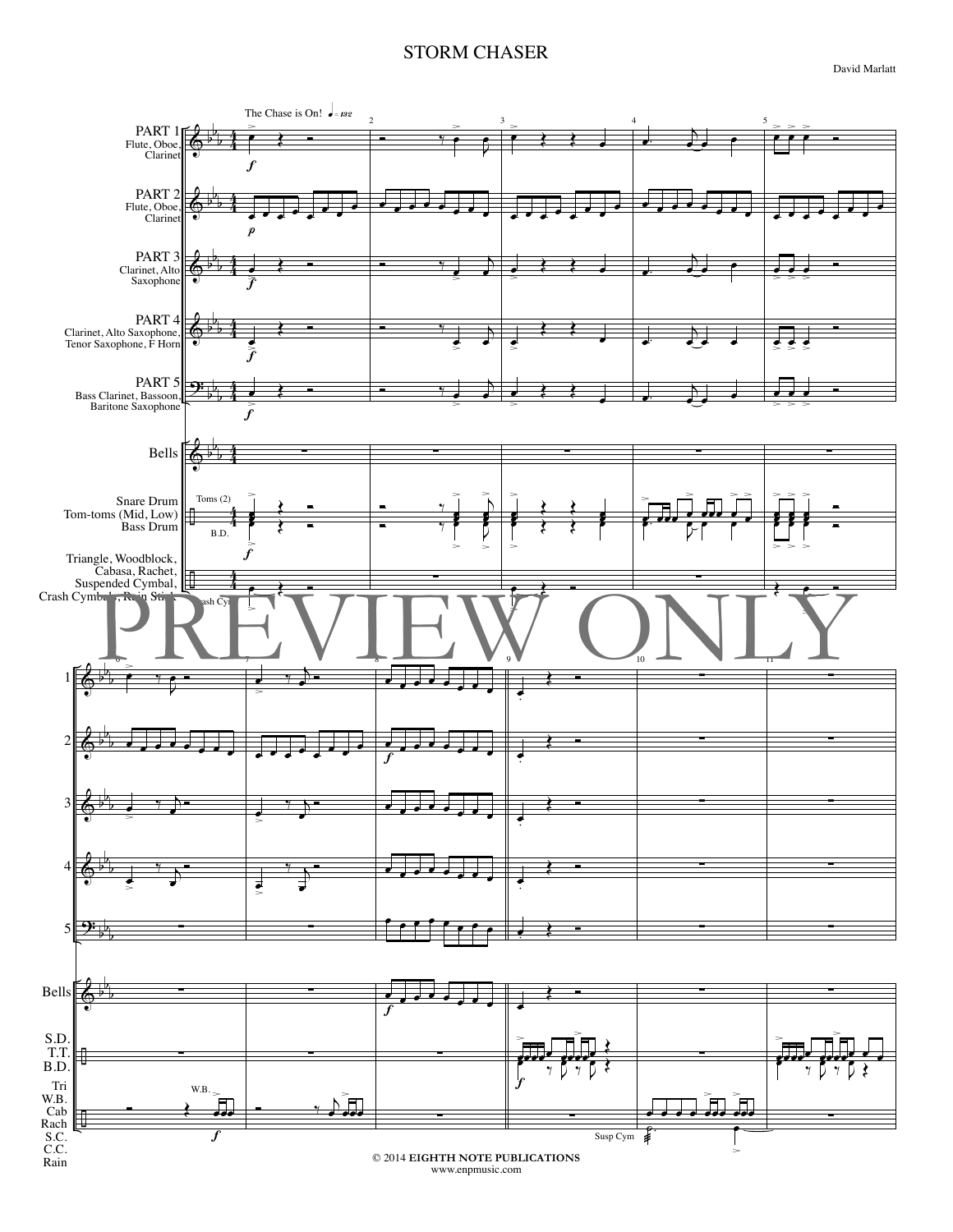#### STORM CHASER

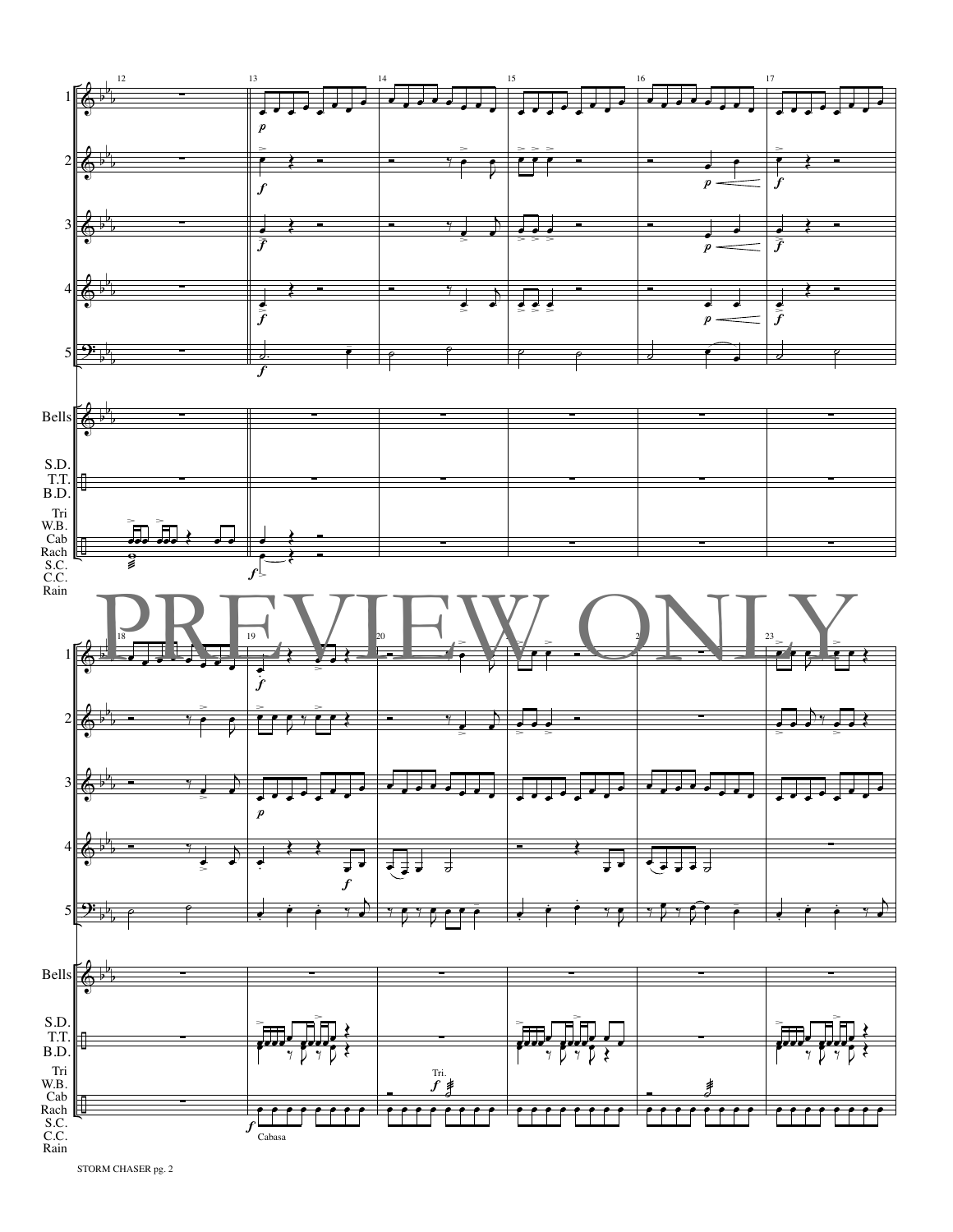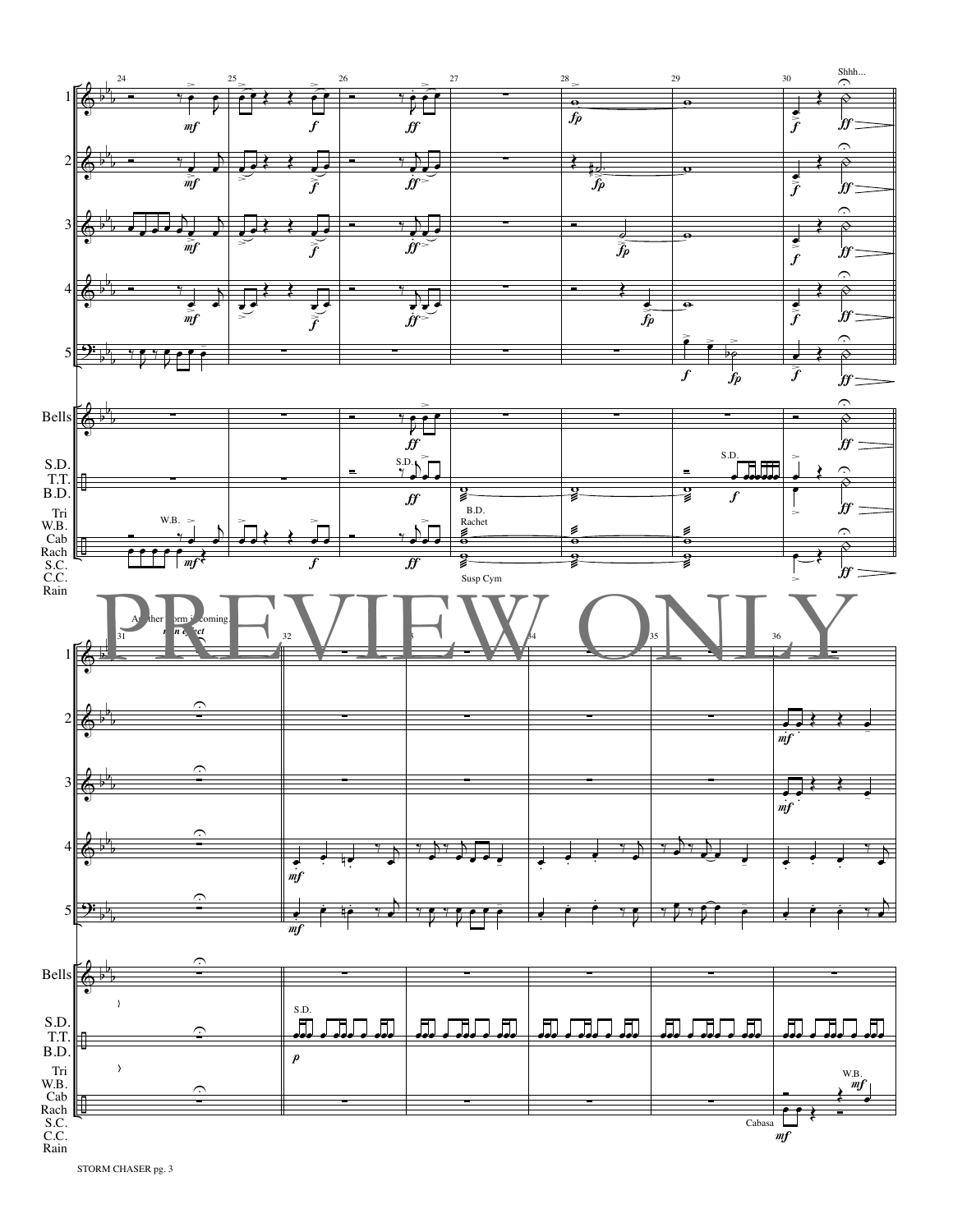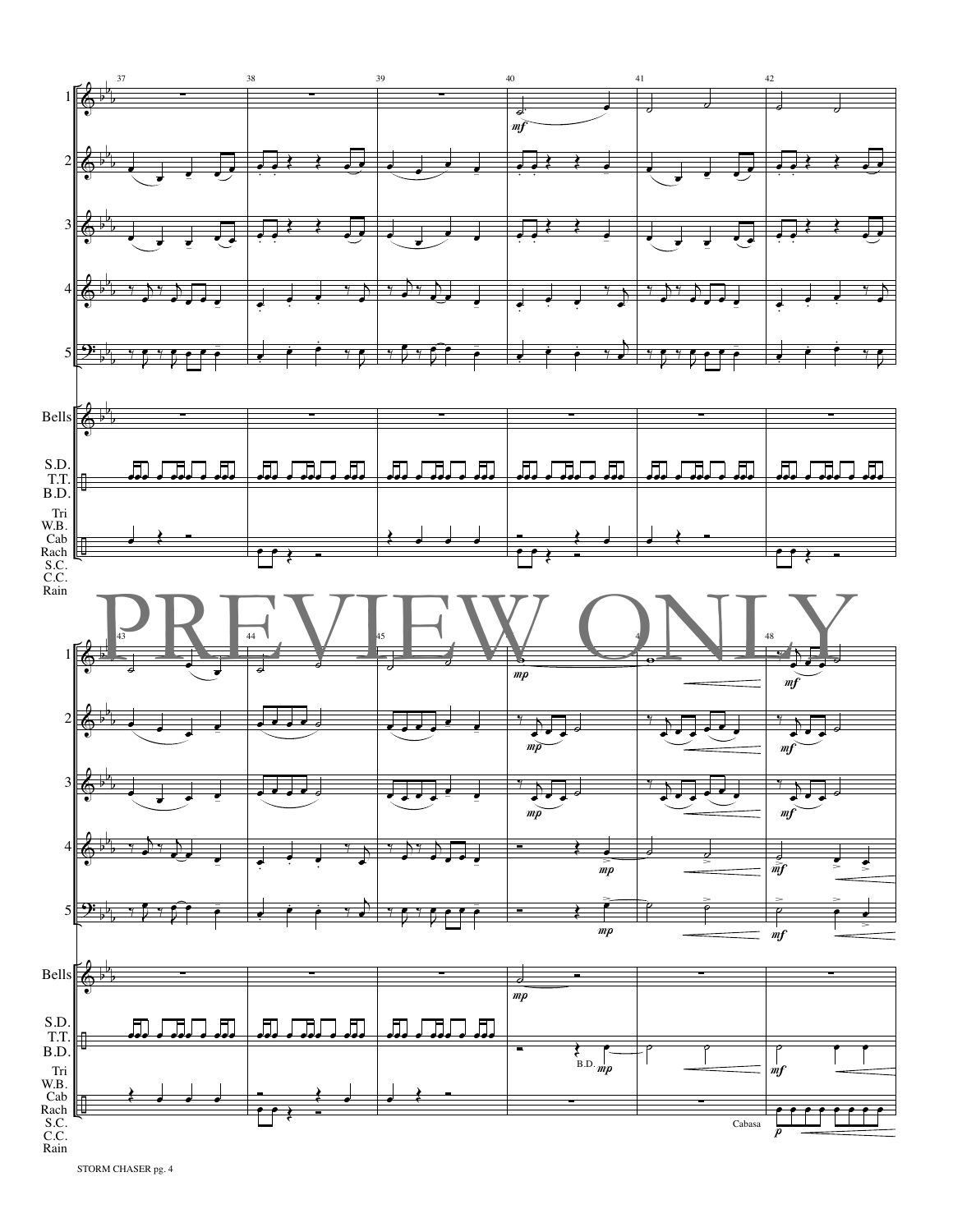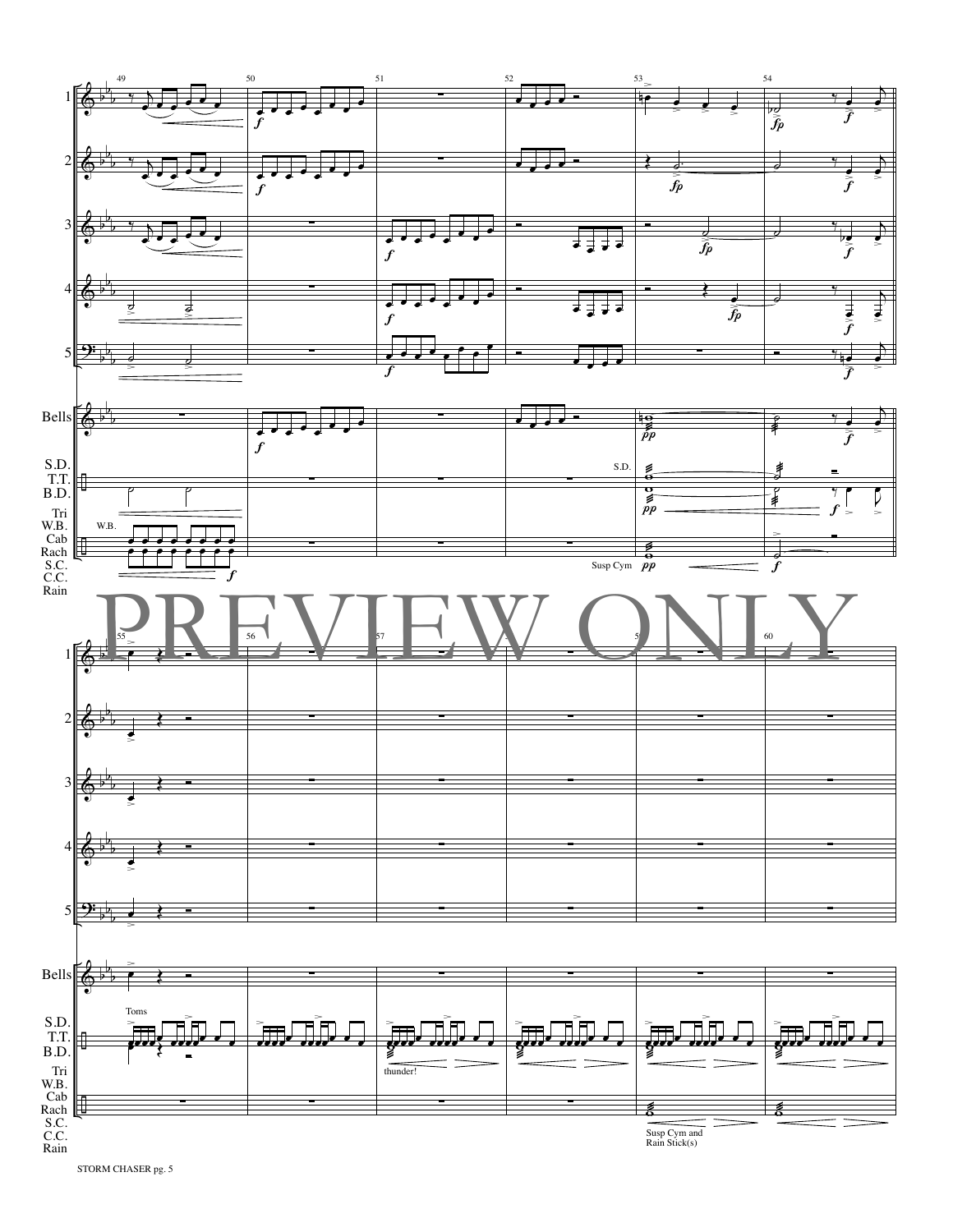